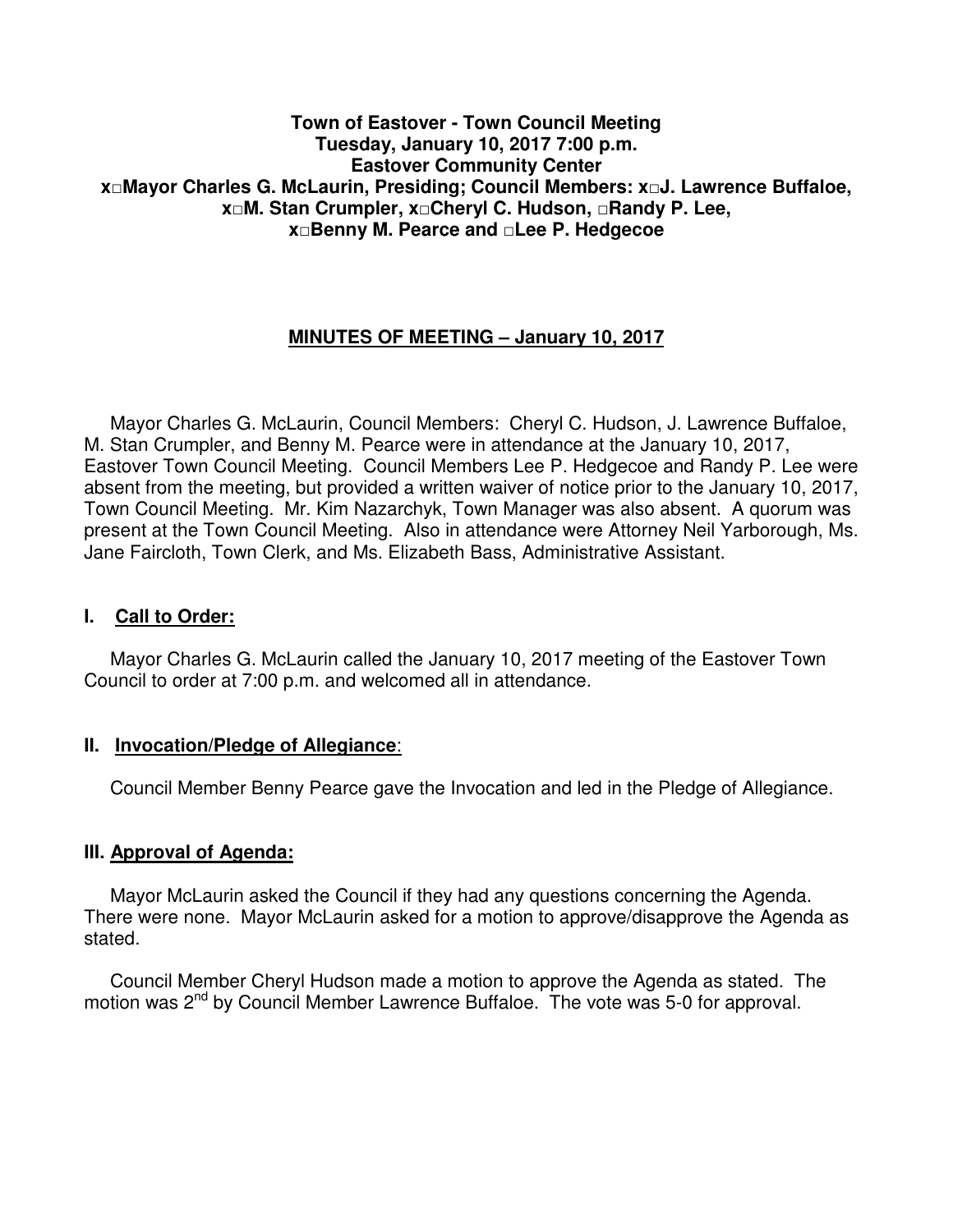#### **Town of Eastover - Town Council Meeting Tuesday, January 10, 2017 7:00 p.m. Eastover Community Center x□Mayor Charles G. McLaurin, Presiding; Council Members: x□J. Lawrence Buffaloe, x□M. Stan Crumpler, x□Cheryl C. Hudson, □Randy P. Lee, x□Benny M. Pearce and □Lee P. Hedgecoe**

# **MINUTES OF MEETING – January 10, 2017**

 Mayor Charles G. McLaurin, Council Members: Cheryl C. Hudson, J. Lawrence Buffaloe, M. Stan Crumpler, and Benny M. Pearce were in attendance at the January 10, 2017, Eastover Town Council Meeting. Council Members Lee P. Hedgecoe and Randy P. Lee were absent from the meeting, but provided a written waiver of notice prior to the January 10, 2017, Town Council Meeting. Mr. Kim Nazarchyk, Town Manager was also absent. A quorum was present at the Town Council Meeting. Also in attendance were Attorney Neil Yarborough, Ms. Jane Faircloth, Town Clerk, and Ms. Elizabeth Bass, Administrative Assistant.

#### **I. Call to Order:**

 Mayor Charles G. McLaurin called the January 10, 2017 meeting of the Eastover Town Council to order at 7:00 p.m. and welcomed all in attendance.

#### **II. Invocation/Pledge of Allegiance**:

Council Member Benny Pearce gave the Invocation and led in the Pledge of Allegiance.

#### **III. Approval of Agenda:**

 Mayor McLaurin asked the Council if they had any questions concerning the Agenda. There were none. Mayor McLaurin asked for a motion to approve/disapprove the Agenda as stated.

 Council Member Cheryl Hudson made a motion to approve the Agenda as stated. The motion was 2<sup>nd</sup> by Council Member Lawrence Buffaloe. The vote was 5-0 for approval.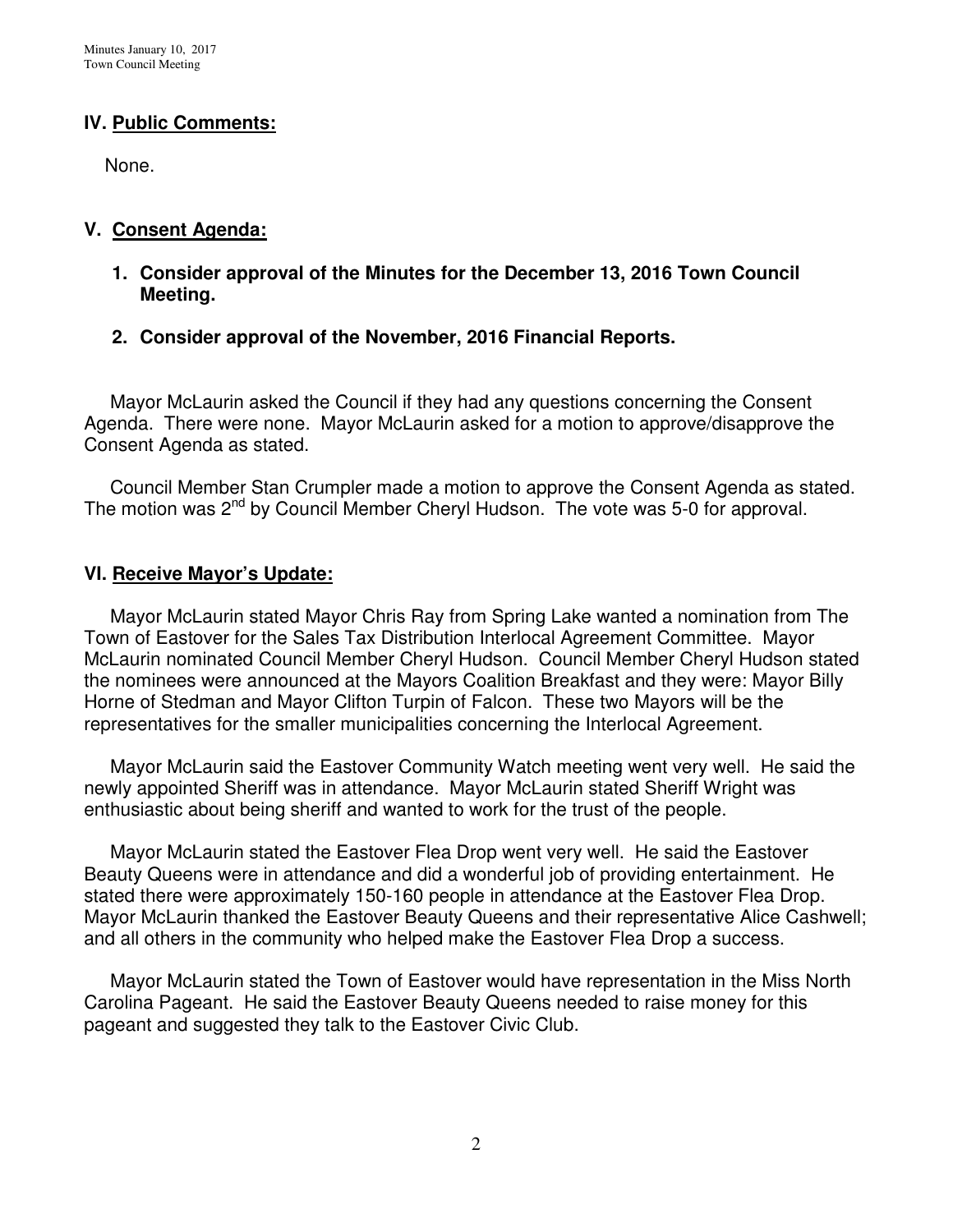### **IV. Public Comments:**

None.

### **V. Consent Agenda:**

- **1. Consider approval of the Minutes for the December 13, 2016 Town Council Meeting.**
- **2. Consider approval of the November, 2016 Financial Reports.**

 Mayor McLaurin asked the Council if they had any questions concerning the Consent Agenda. There were none. Mayor McLaurin asked for a motion to approve/disapprove the Consent Agenda as stated.

 Council Member Stan Crumpler made a motion to approve the Consent Agenda as stated. The motion was 2<sup>nd</sup> by Council Member Cheryl Hudson. The vote was 5-0 for approval.

### **VI. Receive Mayor's Update:**

 Mayor McLaurin stated Mayor Chris Ray from Spring Lake wanted a nomination from The Town of Eastover for the Sales Tax Distribution Interlocal Agreement Committee. Mayor McLaurin nominated Council Member Cheryl Hudson. Council Member Cheryl Hudson stated the nominees were announced at the Mayors Coalition Breakfast and they were: Mayor Billy Horne of Stedman and Mayor Clifton Turpin of Falcon. These two Mayors will be the representatives for the smaller municipalities concerning the Interlocal Agreement.

 Mayor McLaurin said the Eastover Community Watch meeting went very well. He said the newly appointed Sheriff was in attendance. Mayor McLaurin stated Sheriff Wright was enthusiastic about being sheriff and wanted to work for the trust of the people.

 Mayor McLaurin stated the Eastover Flea Drop went very well. He said the Eastover Beauty Queens were in attendance and did a wonderful job of providing entertainment. He stated there were approximately 150-160 people in attendance at the Eastover Flea Drop. Mayor McLaurin thanked the Eastover Beauty Queens and their representative Alice Cashwell; and all others in the community who helped make the Eastover Flea Drop a success.

 Mayor McLaurin stated the Town of Eastover would have representation in the Miss North Carolina Pageant. He said the Eastover Beauty Queens needed to raise money for this pageant and suggested they talk to the Eastover Civic Club.